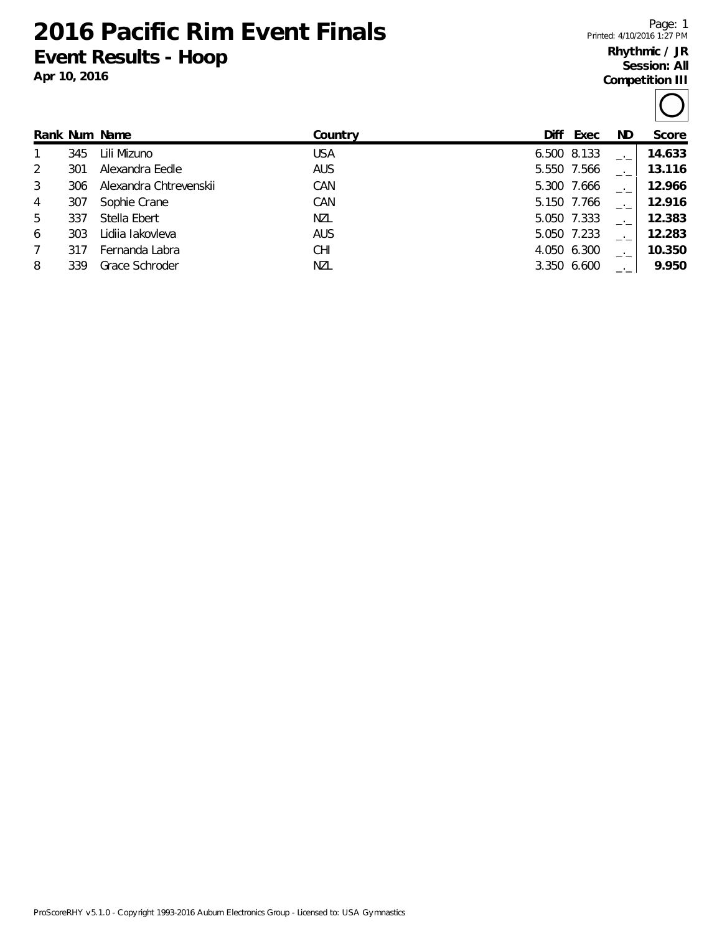**2016 Pacific Rim Event Finals Event Results - Hoop**

**Apr 10, 2016**

Page: 1 Printed: 4/10/2016 1:27 PM

## **Rhythmic / JR Session: All Competition III**

|   |     | Rank Num Name          | Country    | Diff | Exec        | ND. | Score  |
|---|-----|------------------------|------------|------|-------------|-----|--------|
|   | 345 | Lili Mizuno            | <b>USA</b> |      | 6.500 8.133 |     | 14.633 |
| 2 | 301 | Alexandra Eedle        | <b>AUS</b> |      | 5.550 7.566 |     | 13.116 |
| 3 | 306 | Alexandra Chtrevenskii | CAN        |      | 5.300 7.666 |     | 12.966 |
| 4 | 307 | Sophie Crane           | CAN        |      | 5.150 7.766 |     | 12.916 |
| 5 | 337 | Stella Ebert           | NZL        |      | 5.050 7.333 |     | 12.383 |
| 6 | 303 | Lidiia lakovleva       | <b>AUS</b> |      | 5.050 7.233 |     | 12.283 |
|   | 317 | Fernanda Labra         | <b>CHI</b> |      | 4.050 6.300 |     | 10.350 |
| 8 | 339 | Grace Schroder         | NZL        |      | 3.350 6.600 |     | 9.950  |
|   |     |                        |            |      |             |     |        |

ProScoreRHY v5.1.0 - Copyright 1993-2016 Auburn Electronics Group - Licensed to: USA Gymnastics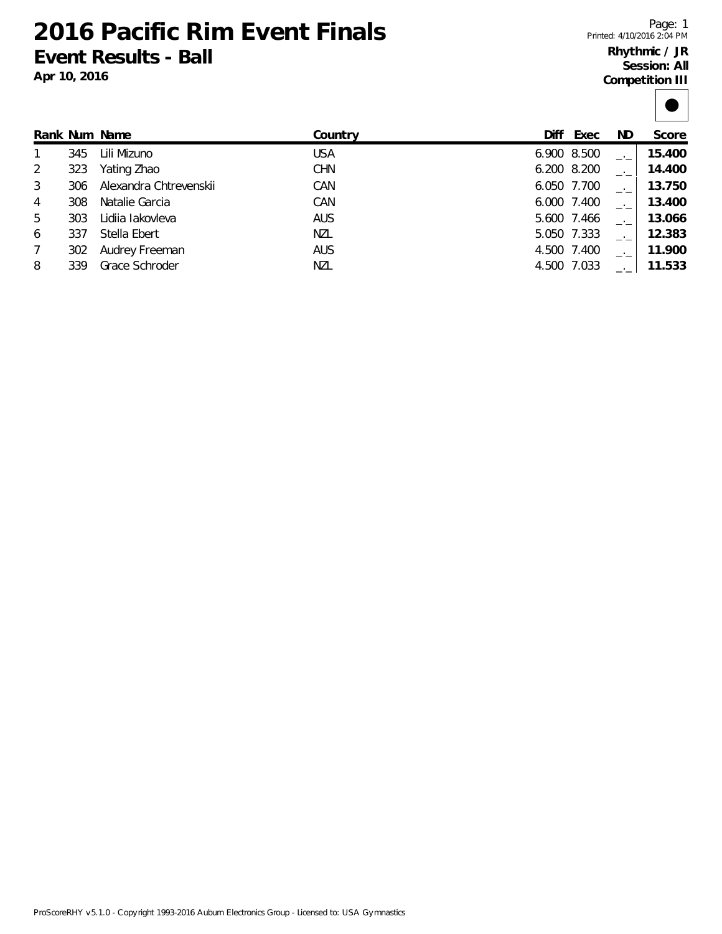**2016 Pacific Rim Event Finals Event Results - Ball**

**Apr 10, 2016**

Page: 1 Printed: 4/10/2016 2:04 PM

## **Rhythmic / JR Session: All Competition III**

|--|

|                 |     | Rank Num Name          | Country    | Diff | Exec        | ND. | Score  |
|-----------------|-----|------------------------|------------|------|-------------|-----|--------|
|                 | 345 | Lili Mizuno            | <b>USA</b> |      | 6.900 8.500 |     | 15.400 |
| 2               | 323 | Yating Zhao            | <b>CHN</b> |      | 6.200 8.200 |     | 14.400 |
| 3               | 306 | Alexandra Chtrevenskii | CAN        |      | 6.050 7.700 |     | 13.750 |
| $\overline{4}$  | 308 | Natalie Garcia         | CAN        |      | 6.000 7.400 |     | 13.400 |
| 5               | 303 | Lidija lakovleva       | <b>AUS</b> |      | 5.600 7.466 |     | 13.066 |
| 6               | 337 | Stella Ebert           | <b>NZL</b> |      | 5.050 7.333 |     | 12.383 |
| $7\overline{ }$ | 302 | Audrey Freeman         | <b>AUS</b> |      | 4.500 7.400 |     | 11.900 |
| 8               | 339 | Grace Schroder         | NZL        |      | 4.500 7.033 |     | 11.533 |
|                 |     |                        |            |      |             |     |        |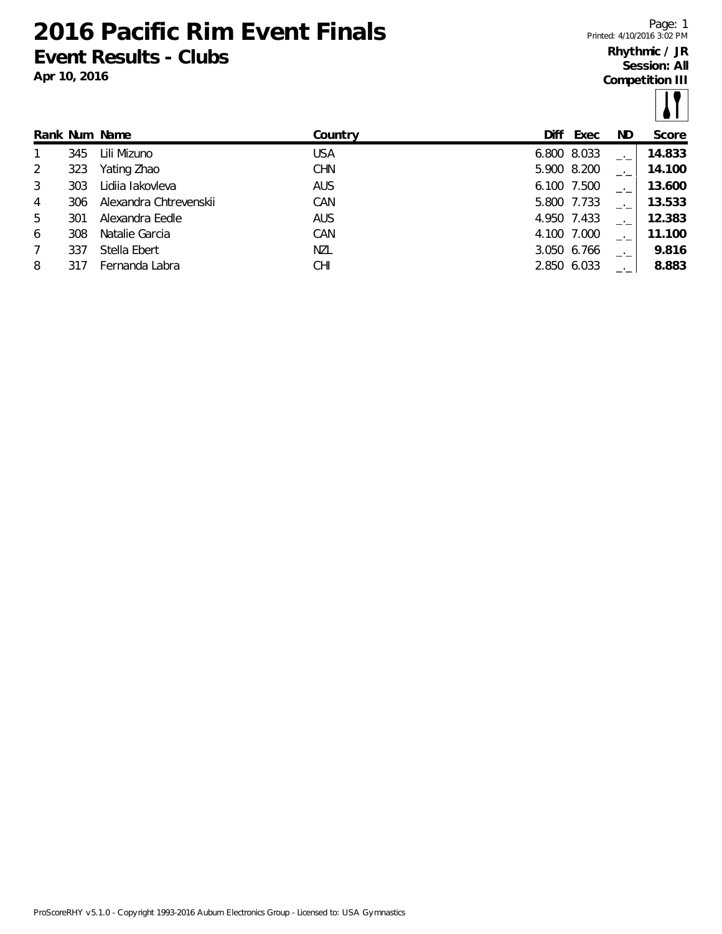**2016 Pacific Rim Event Finals Event Results - Clubs**

**Apr 10, 2016**

Page: 1 Printed: 4/10/2016 3:02 PM

## **Rhythmic / JR Session: All Competition III**

|                |     |                        |            |             |      |     | $\sim$ $\sim$ $\sim$ |
|----------------|-----|------------------------|------------|-------------|------|-----|----------------------|
|                |     | Rank Num Name          | Country    | Diff        | Exec | ND. | Score                |
| 1              | 345 | Lili Mizuno            | <b>USA</b> | 6.800 8.033 |      |     | 14.833               |
| 2              | 323 | Yating Zhao            | <b>CHN</b> | 5.900 8.200 |      |     | 14.100               |
| $\mathbf{3}$   | 303 | Lidija lakovleva       | <b>AUS</b> | 6.100 7.500 |      |     | 13.600               |
| $\overline{4}$ | 306 | Alexandra Chtrevenskii | CAN        | 5.800 7.733 |      |     | 13.533               |
| 5              | 301 | Alexandra Eedle        | <b>AUS</b> | 4.950 7.433 |      |     | 12.383               |
| 6              | 308 | Natalie Garcia         | CAN        | 4.100 7.000 |      |     | 11.100               |
| 7              | 337 | Stella Ebert           | NZL        | 3.050 6.766 |      |     | 9.816                |
| 8              |     | Fernanda Labra         | <b>CHI</b> | 2.850 6.033 |      |     | 8.883                |
|                |     |                        |            |             |      |     |                      |

ProScoreRHY v5.1.0 - Copyright 1993-2016 Auburn Electronics Group - Licensed to: USA Gymnastics